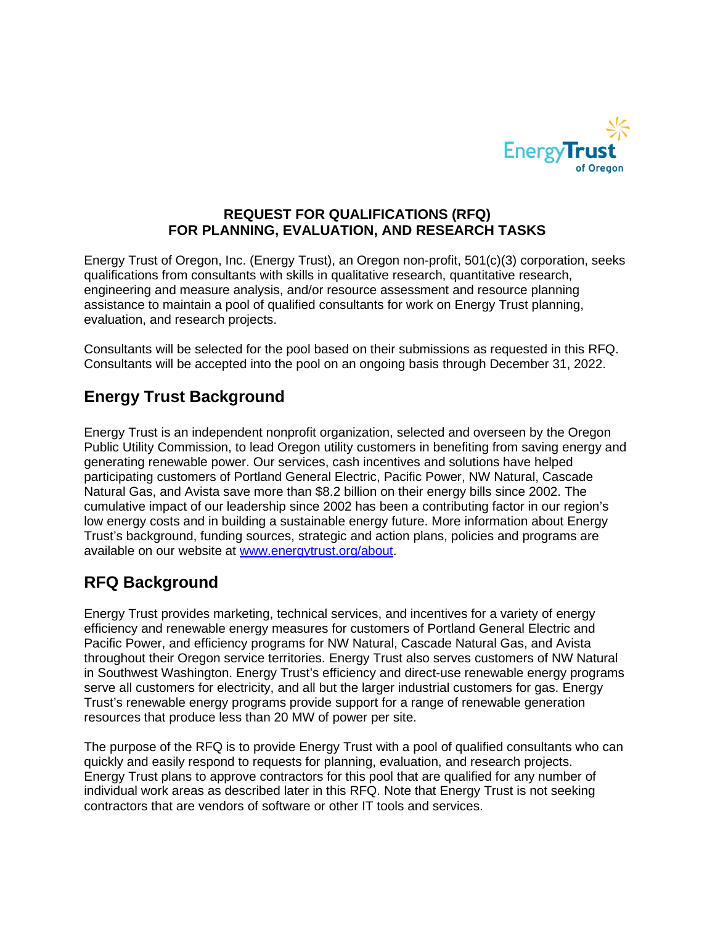

## **REQUEST FOR QUALIFICATIONS (RFQ) FOR PLANNING, EVALUATION, AND RESEARCH TASKS**

Energy Trust of Oregon, Inc. (Energy Trust), an Oregon non-profit, 501(c)(3) corporation, seeks qualifications from consultants with skills in qualitative research, quantitative research, engineering and measure analysis, and/or resource assessment and resource planning assistance to maintain a pool of qualified consultants for work on Energy Trust planning, evaluation, and research projects.

Consultants will be selected for the pool based on their submissions as requested in this RFQ. Consultants will be accepted into the pool on an ongoing basis through December 31, 2022.

# **Energy Trust Background**

Energy Trust is an independent nonprofit organization, selected and overseen by the Oregon Public Utility Commission, to lead Oregon utility customers in benefiting from saving energy and generating renewable power. Our services, cash incentives and solutions have helped participating customers of Portland General Electric, Pacific Power, NW Natural, Cascade Natural Gas, and Avista save more than \$8.2 billion on their energy bills since 2002. The cumulative impact of our leadership since 2002 has been a contributing factor in our region's low energy costs and in building a sustainable energy future. More information about Energy Trust's background, funding sources, strategic and action plans, policies and programs are available on our website at [www.energytrust.org/about.](http://www.energytrust.org/about)

# **RFQ Background**

Energy Trust provides marketing, technical services, and incentives for a variety of energy efficiency and renewable energy measures for customers of Portland General Electric and Pacific Power, and efficiency programs for NW Natural, Cascade Natural Gas, and Avista throughout their Oregon service territories. Energy Trust also serves customers of NW Natural in Southwest Washington. Energy Trust's efficiency and direct-use renewable energy programs serve all customers for electricity, and all but the larger industrial customers for gas. Energy Trust's renewable energy programs provide support for a range of renewable generation resources that produce less than 20 MW of power per site.

The purpose of the RFQ is to provide Energy Trust with a pool of qualified consultants who can quickly and easily respond to requests for planning, evaluation, and research projects. Energy Trust plans to approve contractors for this pool that are qualified for any number of individual work areas as described later in this RFQ. Note that Energy Trust is not seeking contractors that are vendors of software or other IT tools and services.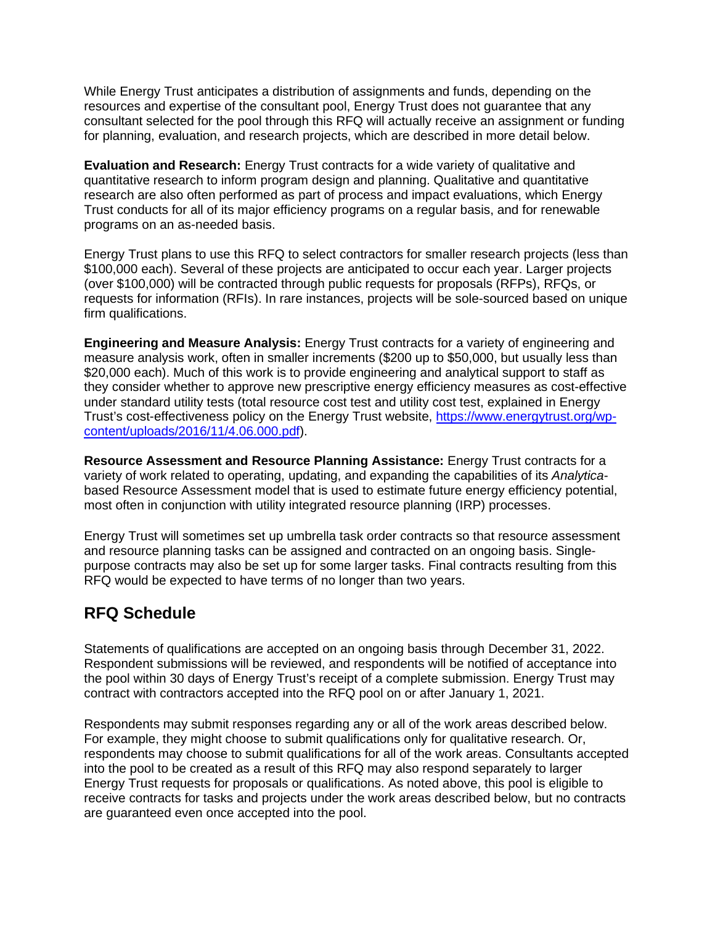While Energy Trust anticipates a distribution of assignments and funds, depending on the resources and expertise of the consultant pool, Energy Trust does not guarantee that any consultant selected for the pool through this RFQ will actually receive an assignment or funding for planning, evaluation, and research projects, which are described in more detail below.

**Evaluation and Research:** Energy Trust contracts for a wide variety of qualitative and quantitative research to inform program design and planning. Qualitative and quantitative research are also often performed as part of process and impact evaluations, which Energy Trust conducts for all of its major efficiency programs on a regular basis, and for renewable programs on an as-needed basis.

Energy Trust plans to use this RFQ to select contractors for smaller research projects (less than \$100,000 each). Several of these projects are anticipated to occur each year. Larger projects (over \$100,000) will be contracted through public requests for proposals (RFPs), RFQs, or requests for information (RFIs). In rare instances, projects will be sole-sourced based on unique firm qualifications.

**Engineering and Measure Analysis:** Energy Trust contracts for a variety of engineering and measure analysis work, often in smaller increments (\$200 up to \$50,000, but usually less than \$20,000 each). Much of this work is to provide engineering and analytical support to staff as they consider whether to approve new prescriptive energy efficiency measures as cost-effective under standard utility tests (total resource cost test and utility cost test, explained in Energy Trust's cost-effectiveness policy on the Energy Trust website, https://www.energytrust.org/wpcontent/uploads/2016/11/4.06.000.pdf).

**Resource Assessment and Resource Planning Assistance:** Energy Trust contracts for a variety of work related to operating, updating, and expanding the capabilities of its *Analytica*based Resource Assessment model that is used to estimate future energy efficiency potential, most often in conjunction with utility integrated resource planning (IRP) processes.

Energy Trust will sometimes set up umbrella task order contracts so that resource assessment and resource planning tasks can be assigned and contracted on an ongoing basis. Singlepurpose contracts may also be set up for some larger tasks. Final contracts resulting from this RFQ would be expected to have terms of no longer than two years.

## **RFQ Schedule**

Statements of qualifications are accepted on an ongoing basis through December 31, 2022. Respondent submissions will be reviewed, and respondents will be notified of acceptance into the pool within 30 days of Energy Trust's receipt of a complete submission. Energy Trust may contract with contractors accepted into the RFQ pool on or after January 1, 2021.

Respondents may submit responses regarding any or all of the work areas described below. For example, they might choose to submit qualifications only for qualitative research. Or, respondents may choose to submit qualifications for all of the work areas. Consultants accepted into the pool to be created as a result of this RFQ may also respond separately to larger Energy Trust requests for proposals or qualifications. As noted above, this pool is eligible to receive contracts for tasks and projects under the work areas described below, but no contracts are guaranteed even once accepted into the pool.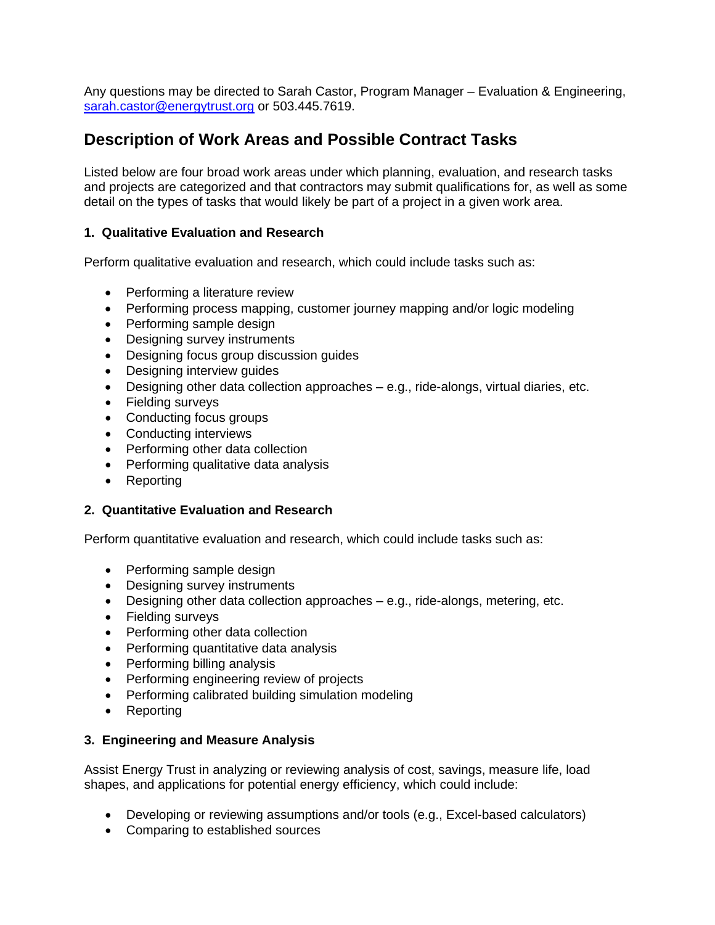Any questions may be directed to Sarah Castor, Program Manager – Evaluation & Engineering, [sarah.castor@energytrust.org](mailto:sarah.castor@energytrust.org) or 503.445.7619.

## **Description of Work Areas and Possible Contract Tasks**

Listed below are four broad work areas under which planning, evaluation, and research tasks and projects are categorized and that contractors may submit qualifications for, as well as some detail on the types of tasks that would likely be part of a project in a given work area.

### **1. Qualitative Evaluation and Research**

Perform qualitative evaluation and research, which could include tasks such as:

- Performing a literature review
- Performing process mapping, customer journey mapping and/or logic modeling
- Performing sample design
- Designing survey instruments
- Designing focus group discussion guides
- Designing interview guides
- Designing other data collection approaches e.g., ride-alongs, virtual diaries, etc.
- Fielding surveys
- Conducting focus groups
- Conducting interviews
- Performing other data collection
- Performing qualitative data analysis
- Reporting

### **2. Quantitative Evaluation and Research**

Perform quantitative evaluation and research, which could include tasks such as:

- Performing sample design
- Designing survey instruments
- Designing other data collection approaches e.g., ride-alongs, metering, etc.
- Fielding surveys
- Performing other data collection
- Performing quantitative data analysis
- Performing billing analysis
- Performing engineering review of projects
- Performing calibrated building simulation modeling
- Reporting

### **3. Engineering and Measure Analysis**

Assist Energy Trust in analyzing or reviewing analysis of cost, savings, measure life, load shapes, and applications for potential energy efficiency, which could include:

- Developing or reviewing assumptions and/or tools (e.g., Excel-based calculators)
- Comparing to established sources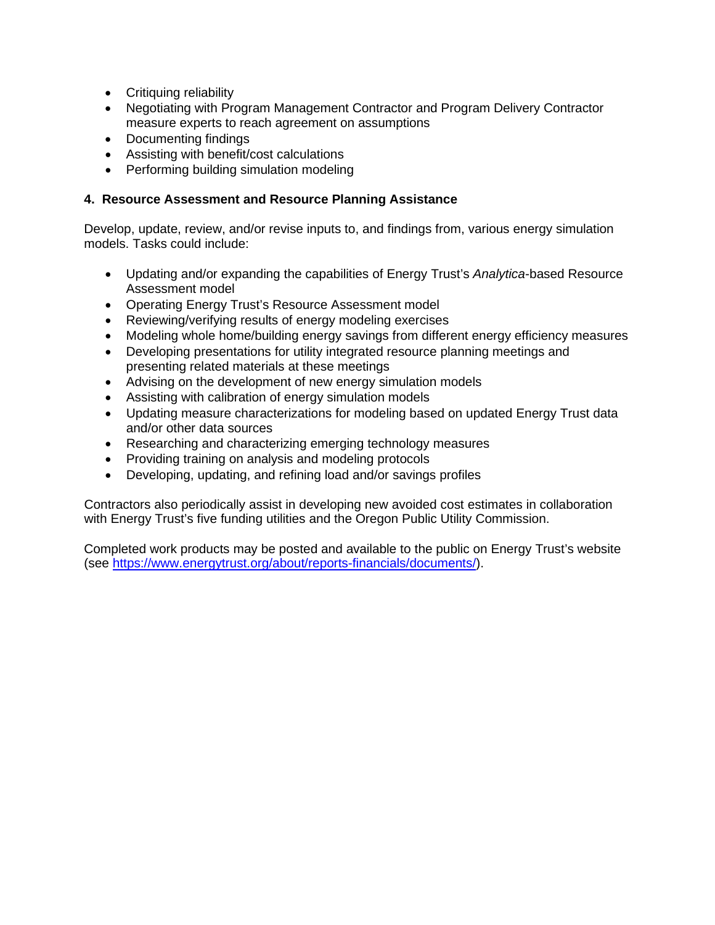- Critiquing reliability
- Negotiating with Program Management Contractor and Program Delivery Contractor measure experts to reach agreement on assumptions
- Documenting findings
- Assisting with benefit/cost calculations
- Performing building simulation modeling

#### **4. Resource Assessment and Resource Planning Assistance**

Develop, update, review, and/or revise inputs to, and findings from, various energy simulation models. Tasks could include:

- Updating and/or expanding the capabilities of Energy Trust's *Analytica*-based Resource Assessment model
- Operating Energy Trust's Resource Assessment model
- Reviewing/verifying results of energy modeling exercises
- Modeling whole home/building energy savings from different energy efficiency measures
- Developing presentations for utility integrated resource planning meetings and presenting related materials at these meetings
- Advising on the development of new energy simulation models
- Assisting with calibration of energy simulation models
- Updating measure characterizations for modeling based on updated Energy Trust data and/or other data sources
- Researching and characterizing emerging technology measures
- Providing training on analysis and modeling protocols
- Developing, updating, and refining load and/or savings profiles

Contractors also periodically assist in developing new avoided cost estimates in collaboration with Energy Trust's five funding utilities and the Oregon Public Utility Commission.

Completed work products may be posted and available to the public on Energy Trust's website (see [https://www.energytrust.org/about/reports-financials/documents/\)](https://www.energytrust.org/about/reports-financials/documents/).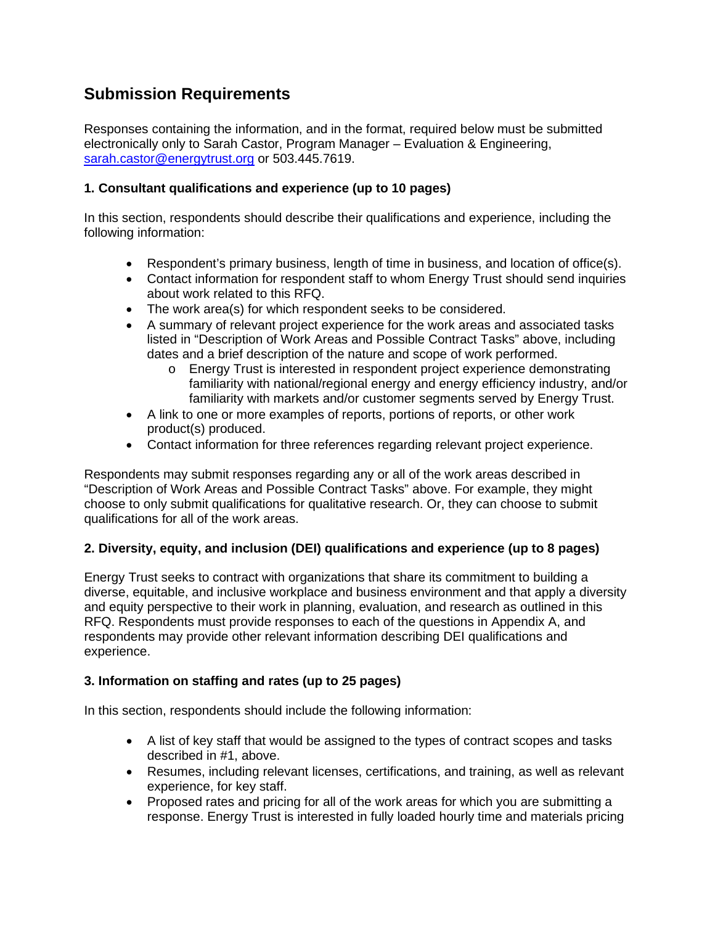## **Submission Requirements**

Responses containing the information, and in the format, required below must be submitted electronically only to Sarah Castor, Program Manager – Evaluation & Engineering, [sarah.castor@energytrust.org](mailto:sarah.castor@energytrust.org) or 503.445.7619.

## **1. Consultant qualifications and experience (up to 10 pages)**

In this section, respondents should describe their qualifications and experience, including the following information:

- Respondent's primary business, length of time in business, and location of office(s).
- Contact information for respondent staff to whom Energy Trust should send inquiries about work related to this RFQ.
- The work area(s) for which respondent seeks to be considered.
- A summary of relevant project experience for the work areas and associated tasks listed in "Description of Work Areas and Possible Contract Tasks" above, including dates and a brief description of the nature and scope of work performed.
	- o Energy Trust is interested in respondent project experience demonstrating familiarity with national/regional energy and energy efficiency industry, and/or familiarity with markets and/or customer segments served by Energy Trust.
- A link to one or more examples of reports, portions of reports, or other work product(s) produced.
- Contact information for three references regarding relevant project experience.

Respondents may submit responses regarding any or all of the work areas described in "Description of Work Areas and Possible Contract Tasks" above. For example, they might choose to only submit qualifications for qualitative research. Or, they can choose to submit qualifications for all of the work areas.

## **2. Diversity, equity, and inclusion (DEI) qualifications and experience (up to 8 pages)**

Energy Trust seeks to contract with organizations that share its commitment to building a diverse, equitable, and inclusive workplace and business environment and that apply a diversity and equity perspective to their work in planning, evaluation, and research as outlined in this RFQ. Respondents must provide responses to each of the questions in Appendix A, and respondents may provide other relevant information describing DEI qualifications and experience.

## **3. Information on staffing and rates (up to 25 pages)**

In this section, respondents should include the following information:

- A list of key staff that would be assigned to the types of contract scopes and tasks described in #1, above.
- Resumes, including relevant licenses, certifications, and training, as well as relevant experience, for key staff.
- Proposed rates and pricing for all of the work areas for which you are submitting a response. Energy Trust is interested in fully loaded hourly time and materials pricing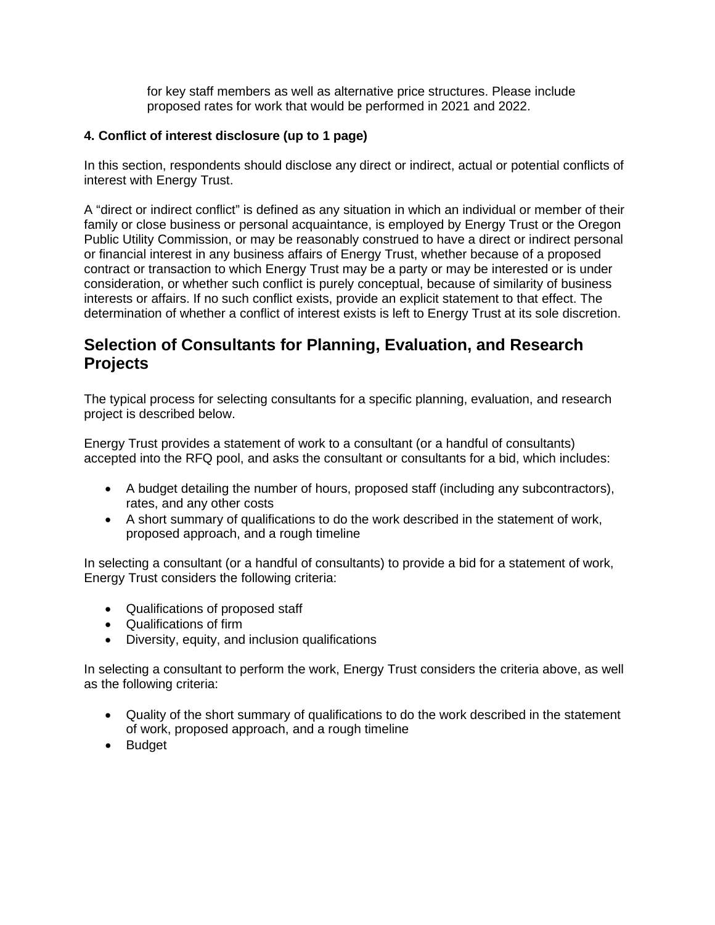for key staff members as well as alternative price structures. Please include proposed rates for work that would be performed in 2021 and 2022.

## **4. Conflict of interest disclosure (up to 1 page)**

In this section, respondents should disclose any direct or indirect, actual or potential conflicts of interest with Energy Trust.

A "direct or indirect conflict" is defined as any situation in which an individual or member of their family or close business or personal acquaintance, is employed by Energy Trust or the Oregon Public Utility Commission, or may be reasonably construed to have a direct or indirect personal or financial interest in any business affairs of Energy Trust, whether because of a proposed contract or transaction to which Energy Trust may be a party or may be interested or is under consideration, or whether such conflict is purely conceptual, because of similarity of business interests or affairs. If no such conflict exists, provide an explicit statement to that effect. The determination of whether a conflict of interest exists is left to Energy Trust at its sole discretion.

## **Selection of Consultants for Planning, Evaluation, and Research Projects**

The typical process for selecting consultants for a specific planning, evaluation, and research project is described below.

Energy Trust provides a statement of work to a consultant (or a handful of consultants) accepted into the RFQ pool, and asks the consultant or consultants for a bid, which includes:

- A budget detailing the number of hours, proposed staff (including any subcontractors), rates, and any other costs
- A short summary of qualifications to do the work described in the statement of work, proposed approach, and a rough timeline

In selecting a consultant (or a handful of consultants) to provide a bid for a statement of work, Energy Trust considers the following criteria:

- Qualifications of proposed staff
- Qualifications of firm
- Diversity, equity, and inclusion qualifications

In selecting a consultant to perform the work, Energy Trust considers the criteria above, as well as the following criteria:

- Quality of the short summary of qualifications to do the work described in the statement of work, proposed approach, and a rough timeline
- Budget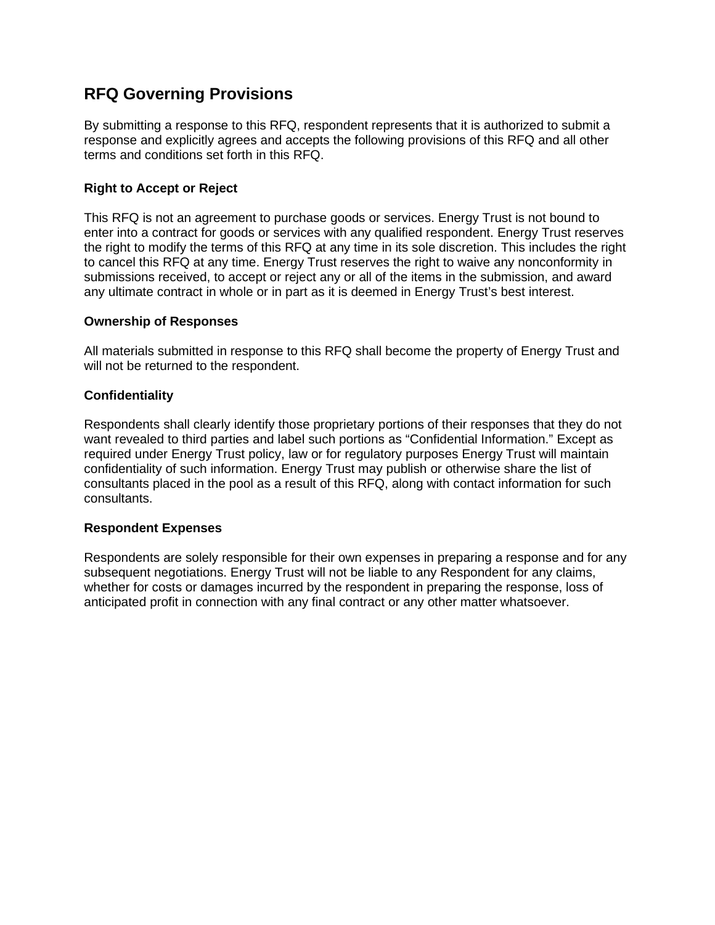## **RFQ Governing Provisions**

By submitting a response to this RFQ, respondent represents that it is authorized to submit a response and explicitly agrees and accepts the following provisions of this RFQ and all other terms and conditions set forth in this RFQ.

### **Right to Accept or Reject**

This RFQ is not an agreement to purchase goods or services. Energy Trust is not bound to enter into a contract for goods or services with any qualified respondent. Energy Trust reserves the right to modify the terms of this RFQ at any time in its sole discretion. This includes the right to cancel this RFQ at any time. Energy Trust reserves the right to waive any nonconformity in submissions received, to accept or reject any or all of the items in the submission, and award any ultimate contract in whole or in part as it is deemed in Energy Trust's best interest.

### **Ownership of Responses**

All materials submitted in response to this RFQ shall become the property of Energy Trust and will not be returned to the respondent.

#### **Confidentiality**

Respondents shall clearly identify those proprietary portions of their responses that they do not want revealed to third parties and label such portions as "Confidential Information." Except as required under Energy Trust policy, law or for regulatory purposes Energy Trust will maintain confidentiality of such information. Energy Trust may publish or otherwise share the list of consultants placed in the pool as a result of this RFQ, along with contact information for such consultants.

### **Respondent Expenses**

Respondents are solely responsible for their own expenses in preparing a response and for any subsequent negotiations. Energy Trust will not be liable to any Respondent for any claims, whether for costs or damages incurred by the respondent in preparing the response, loss of anticipated profit in connection with any final contract or any other matter whatsoever.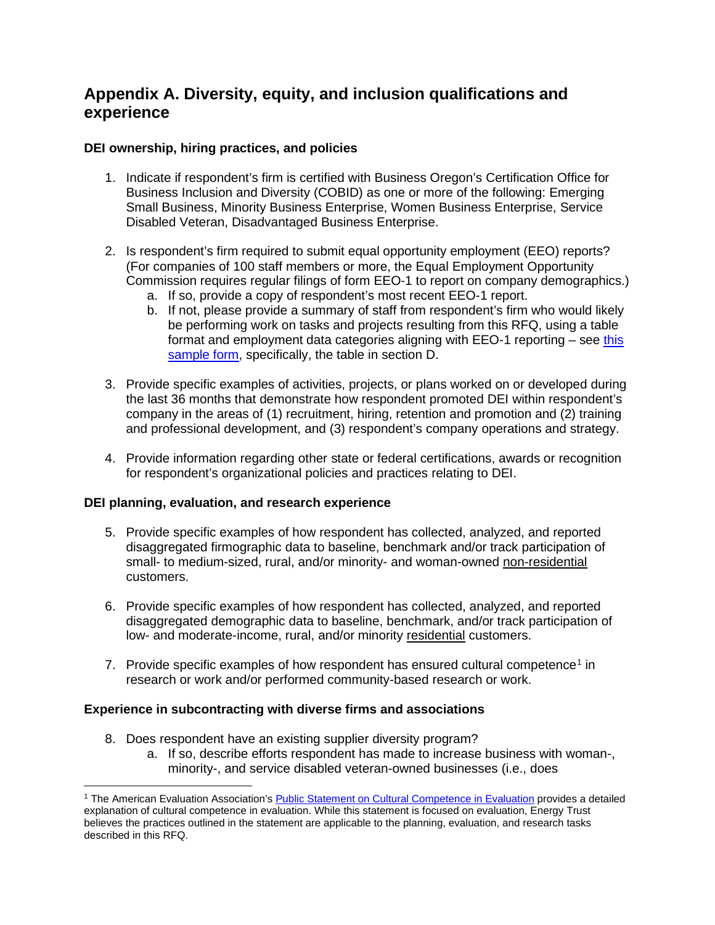## **Appendix A. Diversity, equity, and inclusion qualifications and experience**

## **DEI ownership, hiring practices, and policies**

- 1. Indicate if respondent's firm is certified with Business Oregon's Certification Office for Business Inclusion and Diversity (COBID) as one or more of the following: Emerging Small Business, Minority Business Enterprise, Women Business Enterprise, Service Disabled Veteran, Disadvantaged Business Enterprise.
- 2. Is respondent's firm required to submit equal opportunity employment (EEO) reports? (For companies of 100 staff members or more, the Equal Employment Opportunity Commission requires regular filings of form EEO-1 to report on company demographics.)
	- a. If so, provide a copy of respondent's most recent EEO-1 report.
	- b. If not, please provide a summary of staff from respondent's firm who would likely be performing work on tasks and projects resulting from this RFQ, using a table format and employment data categories aligning with EEO-1 reporting – see [this](https://www.eeoc.gov/sites/default/files/migrated_files/employers/eeo1survey/eeo1-2-2.pdf)  [sample form,](https://www.eeoc.gov/sites/default/files/migrated_files/employers/eeo1survey/eeo1-2-2.pdf) specifically, the table in section D.
- 3. Provide specific examples of activities, projects, or plans worked on or developed during the last 36 months that demonstrate how respondent promoted DEI within respondent's company in the areas of (1) recruitment, hiring, retention and promotion and (2) training and professional development, and (3) respondent's company operations and strategy.
- 4. Provide information regarding other state or federal certifications, awards or recognition for respondent's organizational policies and practices relating to DEI.

### **DEI planning, evaluation, and research experience**

- 5. Provide specific examples of how respondent has collected, analyzed, and reported disaggregated firmographic data to baseline, benchmark and/or track participation of small- to medium-sized, rural, and/or minority- and woman-owned non-residential customers.
- 6. Provide specific examples of how respondent has collected, analyzed, and reported disaggregated demographic data to baseline, benchmark, and/or track participation of low- and moderate-income, rural, and/or minority residential customers.
- 7. Provide specific examples of how respondent has ensured cultural competence<sup>[1](#page-7-0)</sup> in research or work and/or performed community-based research or work.

### **Experience in subcontracting with diverse firms and associations**

- 8. Does respondent have an existing supplier diversity program?
	- a. If so, describe efforts respondent has made to increase business with woman-, minority-, and service disabled veteran-owned businesses (i.e., does

<span id="page-7-0"></span><sup>1</sup> The American Evaluation Association's [Public Statement on Cultural Competence in Evaluation](https://www.eval.org/About/Competencies-Standards/Cutural-Competence-Statement) provides a detailed explanation of cultural competence in evaluation. While this statement is focused on evaluation, Energy Trust believes the practices outlined in the statement are applicable to the planning, evaluation, and research tasks described in this RFQ.